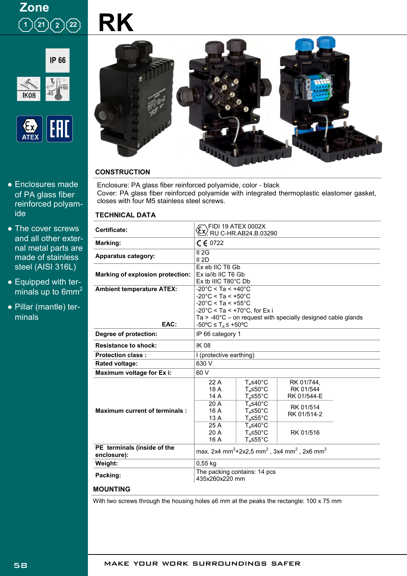

**RK**





- Enclosures made of PA glass fiber reinforced polyamide
- The cover screws and all other external metal parts are made of stainless steel (AISI 316L)
- Equipped with terminals up to 6mm<sup>2</sup>
- Pillar (mantle) terminals



### **CONSTRUCTION**

Enclosure: PA glass fiber reinforced polyamide, color - black Cover: PA glass fiber reinforced polyamide with integrated thermoplastic elastomer gasket, closes with four M5 stainless steel screws.

### **TECHNICAL DATA**

| Certificate:                               | \FIDI 19 ATEX 0002X<br><u>CX/</u> RU C-HR.AB24.B.03290                                                                                                                                                                                                                                                         |                                                                                                                                                                                              |                                                                                 |  |  |  |
|--------------------------------------------|----------------------------------------------------------------------------------------------------------------------------------------------------------------------------------------------------------------------------------------------------------------------------------------------------------------|----------------------------------------------------------------------------------------------------------------------------------------------------------------------------------------------|---------------------------------------------------------------------------------|--|--|--|
| Marking:                                   | $C \in 0722$                                                                                                                                                                                                                                                                                                   |                                                                                                                                                                                              |                                                                                 |  |  |  |
| <b>Apparatus category:</b>                 | II 2G<br>II 2D                                                                                                                                                                                                                                                                                                 |                                                                                                                                                                                              |                                                                                 |  |  |  |
| <b>Marking of explosion protection:</b>    | Ex eb IIC T6 Gb<br>Ex ja/ib IIC T6 Gb<br>$Ex$ tb IIIC T80 $^{\circ}$ C Db                                                                                                                                                                                                                                      |                                                                                                                                                                                              |                                                                                 |  |  |  |
| <b>Ambient temperature ATEX:</b><br>EAC:   | $-20^{\circ}$ C < Ta < $+40^{\circ}$ C<br>$-20^{\circ}$ C < Ta < $+50^{\circ}$ C<br>$-20^{\circ}$ C < Ta < $+55^{\circ}$ C<br>$-20^{\circ}$ C < Ta < $+70^{\circ}$ C, for Ex i<br>Ta $> -40^{\circ}$ C – on request with specially designed cable glands<br>$-50^{\circ}$ C $\leq$ T <sub>a</sub> $\leq$ +50°C |                                                                                                                                                                                              |                                                                                 |  |  |  |
| Degree of protection:                      | IP 66 category 1                                                                                                                                                                                                                                                                                               |                                                                                                                                                                                              |                                                                                 |  |  |  |
| <b>Resistance to shock:</b>                | <b>IK08</b>                                                                                                                                                                                                                                                                                                    |                                                                                                                                                                                              |                                                                                 |  |  |  |
| <b>Protection class:</b>                   | I (protective earthing)                                                                                                                                                                                                                                                                                        |                                                                                                                                                                                              |                                                                                 |  |  |  |
| <b>Rated voltage:</b>                      | 630 V                                                                                                                                                                                                                                                                                                          |                                                                                                                                                                                              |                                                                                 |  |  |  |
| Maximum voltage for Ex i:                  | 60 V                                                                                                                                                                                                                                                                                                           |                                                                                                                                                                                              |                                                                                 |  |  |  |
| <b>Maximum current of terminals:</b>       | 22 A<br>18 A<br>14 A<br>20 A<br>16 A<br>13A<br>25 A<br>20 A                                                                                                                                                                                                                                                    | $T_a \leq 40^\circ \text{C}$<br>$T_a \leq 50^\circ C$<br>$T_a \le 55^{\circ}$ C<br>$T_a \leq 40^\circ \text{C}$<br>$T_a \leq 50^\circ C$<br>$T_a \leq 55^{\circ}$ C<br>$T_a \leq 40^\circ C$ | RK 01/744.<br>RK 01/544<br>RK 01/544-E<br>RK 01/514<br>RK 01/514-2<br>RK 01/516 |  |  |  |
|                                            | 16 A                                                                                                                                                                                                                                                                                                           | $T_a \leq 50^\circ \text{C}$<br>$T_a \le 55^{\circ}$ C                                                                                                                                       |                                                                                 |  |  |  |
| PE terminals (inside of the<br>enclosure): | max. 2x4 mm <sup>2</sup> +2x2,5 mm <sup>2</sup> , 3x4 mm <sup>2</sup> , 2x6 mm <sup>2</sup>                                                                                                                                                                                                                    |                                                                                                                                                                                              |                                                                                 |  |  |  |
| Weight:                                    | $0,55$ kg                                                                                                                                                                                                                                                                                                      |                                                                                                                                                                                              |                                                                                 |  |  |  |
| Packing:                                   | The packing contains: 14 pcs<br>435x260x220 mm                                                                                                                                                                                                                                                                 |                                                                                                                                                                                              |                                                                                 |  |  |  |

#### **MOUNTING**

 $\overline{a}$  $\overline{a}$ 

With two screws through the housing holes  $\phi$ 6 mm at the peaks the rectangle: 100 x 75 mm